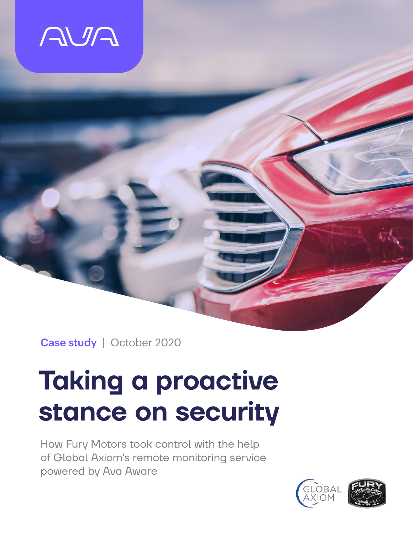

Case study | October 2020

# **Taking a proactive stance on security**

How Fury Motors took control with the help of Global Axiom's remote monitoring service powered by Ava Aware

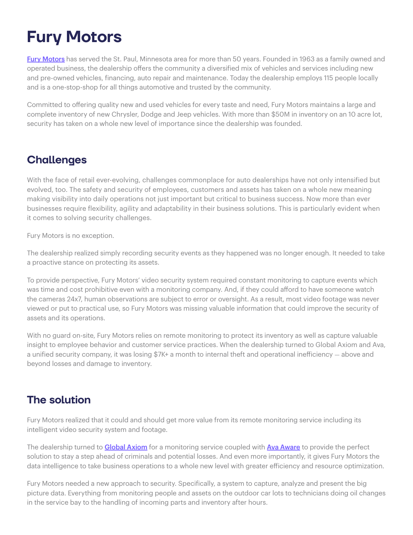# **Fury Motors**

[Fury Motors](https://saintpaul.furymotors.com/about-fury-saint-paul-in-st-paul-mn) has served the St. Paul, Minnesota area for more than 50 years. Founded in 1963 as a family owned and operated business, the dealership offers the community a diversified mix of vehicles and services including new and pre-owned vehicles, financing, auto repair and maintenance. Today the dealership employs 115 people locally and is a one-stop-shop for all things automotive and trusted by the community.

Committed to offering quality new and used vehicles for every taste and need, Fury Motors maintains a large and complete inventory of new Chrysler, Dodge and Jeep vehicles. With more than \$50M in inventory on an 10 acre lot, security has taken on a whole new level of importance since the dealership was founded.

# **Challenges**

With the face of retail ever-evolving, challenges commonplace for auto dealerships have not only intensified but evolved, too. The safety and security of employees, customers and assets has taken on a whole new meaning making visibility into daily operations not just important but critical to business success. Now more than ever businesses require flexibility, agility and adaptability in their business solutions. This is particularly evident when it comes to solving security challenges.

Fury Motors is no exception.

The dealership realized simply recording security events as they happened was no longer enough. It needed to take a proactive stance on protecting its assets.

To provide perspective, Fury Motors' video security system required constant monitoring to capture events which was time and cost prohibitive even with a monitoring company. And, if they could afford to have someone watch the cameras 24x7, human observations are subject to error or oversight. As a result, most video footage was never viewed or put to practical use, so Fury Motors was missing valuable information that could improve the security of assets and its operations.

With no guard on-site, Fury Motors relies on remote monitoring to protect its inventory as well as capture valuable insight to employee behavior and customer service practices. When the dealership turned to Global Axiom and Ava, a unified security company, it was losing \$7K+ a month to internal theft and operational inefficiency – above and beyond losses and damage to inventory.

# **The solution**

Fury Motors realized that it could and should get more value from its remote monitoring service including its intelligent video security system and footage.

The dealership turned to **[Global Axiom](https://www.globalaxiom.com)** for a monitoring service coupled with **[Ava Aware](https://www.ava.uk/video/aware)** to provide the perfect solution to stay a step ahead of criminals and potential losses. And even more importantly, it gives Fury Motors the data intelligence to take business operations to a whole new level with greater efficiency and resource optimization.

Fury Motors needed a new approach to security. Specifically, a system to capture, analyze and present the big picture data. Everything from monitoring people and assets on the outdoor car lots to technicians doing oil changes in the service bay to the handling of incoming parts and inventory after hours.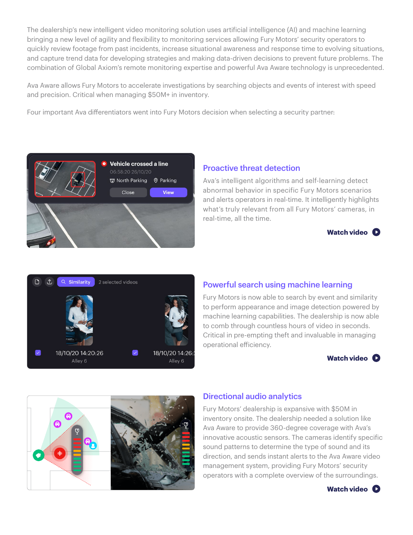The dealership's new intelligent video monitoring solution uses artificial intelligence (AI) and machine learning bringing a new level of agility and flexibility to monitoring services allowing Fury Motors' security operators to quickly review footage from past incidents, increase situational awareness and response time to evolving situations, and capture trend data for developing strategies and making data-driven decisions to prevent future problems. The combination of Global Axiom's remote monitoring expertise and powerful Ava Aware technology is unprecedented.

Ava Aware allows Fury Motors to accelerate investigations by searching objects and events of interest with speed and precision. Critical when managing \$50M+ in inventory.

Four important Ava differentiators went into Fury Motors decision when selecting a security partner:



#### Proactive threat detection

Ava's intelligent algorithms and self-learning detect abnormal behavior in specific Fury Motors scenarios and alerts operators in real-time. It intelligently highlights what's truly relevant from all Fury Motors' cameras, in real-time, all the time.





### Powerful search using machine learning

Fury Motors is now able to search by event and similarity to perform appearance and image detection powered by machine learning capabilities. The dealership is now able to comb through countless hours of video in seconds. Critical in pre-empting theft and invaluable in managing operational efficiency.





#### Directional audio analytics

Fury Motors' dealership is expansive with \$50M in inventory onsite. The dealership needed a solution like Ava Aware to provide 360-degree coverage with Ava's innovative acoustic sensors. The cameras identify specific sound patterns to determine the type of sound and its direction, and sends instant alerts to the Ava Aware video management system, providing Fury Motors' security operators with a complete overview of the surroundings.

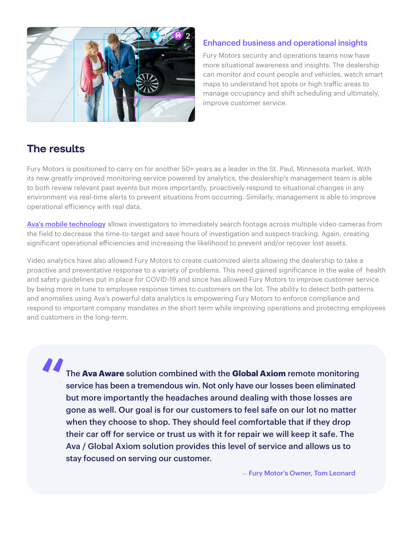

#### Enhanced business and operational insights

Fury Motors security and operations teams now have more situational awareness and insights. The dealership can monitor and count people and vehicles, watch smart maps to understand hot spots or high traffic areas to manage occupancy and shift scheduling and ultimately, improve customer service.

# **The results**

Fury Motors is positioned to carry on for another 50+ years as a leader in the St. Paul, Minnesota market. With its new greatly improved monitoring service powered by analytics, the dealership's management team is able to both review relevant past events but more importantly, proactively respond to situational changes in any environment via real-time alerts to prevent situations from occurring. Similarly, management is able to improve operational efficiency with real data.

[Ava's mobile technology](https://youtu.be/Pao5TD7gfkw) allows investigators to immediately search footage across multiple video cameras from the field to decrease the time-to-target and save hours of investigation and suspect-tracking. Again, creating significant operational efficiencies and increasing the likelihood to prevent and/or recover lost assets.

Video analytics have also allowed Fury Motors to create customized alerts allowing the dealership to take a proactive and preventative response to a variety of problems. This need gained significance in the wake of health and safety guidelines put in place for COVID-19 and since has allowed Fury Motors to improve customer service by being more in tune to employee response times to customers on the lot. The ability to detect both patterns and anomalies using Ava's powerful data analytics is empowering Fury Motors to enforce compliance and respond to important company mandates in the short term while improving operations and protecting employees and customers in the long-term.

The **Ava Aware** solution combined with the **Global Axiom** remote monitoring service has been a tremendous win. Not only have our losses been eliminated but more importantly the headaches around dealing with those losses are gone as well. Our goal is for our customers to feel safe on our lot no matter when they choose to shop. They should feel comfortable that if they drop their car off for service or trust us with it for repair we will keep it safe. The Ava / Global Axiom solution provides this level of service and allows us to stay focused on serving our customer. "

- Fury Motor's Owner, Tom Leonard